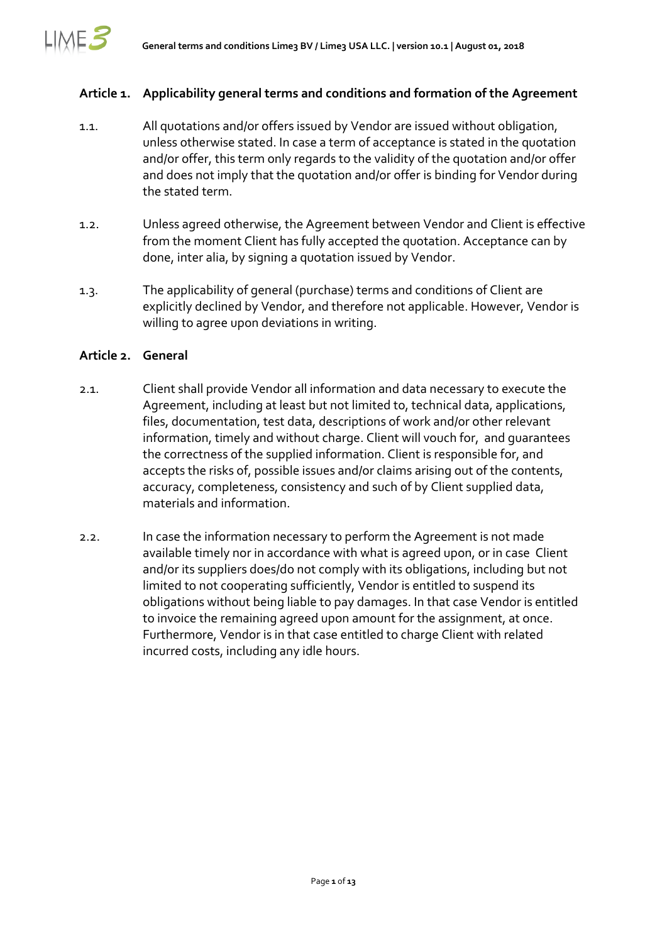

#### **Article 1. Applicability general terms and conditions and formation of the Agreement**

- 1.1. All quotations and/or offers issued by Vendor are issued without obligation, unless otherwise stated. In case a term of acceptance is stated in the quotation and/or offer, this term only regards to the validity of the quotation and/or offer and does not imply that the quotation and/or offer is binding for Vendor during the stated term.
- 1.2. Unless agreed otherwise, the Agreement between Vendor and Client is effective from the moment Client has fully accepted the quotation. Acceptance can by done, inter alia, by signing a quotation issued by Vendor.
- 1.3. The applicability of general (purchase) terms and conditions of Client are explicitly declined by Vendor, and therefore not applicable. However, Vendor is willing to agree upon deviations in writing.

#### **Article 2. General**

- 2.1. Client shall provide Vendor all information and data necessary to execute the Agreement, including at least but not limited to, technical data, applications, files, documentation, test data, descriptions of work and/or other relevant information, timely and without charge. Client will vouch for, and guarantees the correctness of the supplied information. Client is responsible for, and accepts the risks of, possible issues and/or claims arising out of the contents, accuracy, completeness, consistency and such of by Client supplied data, materials and information.
- 2.2. In case the information necessary to perform the Agreement is not made available timely nor in accordance with what is agreed upon, or in case Client and/or its suppliers does/do not comply with its obligations, including but not limited to not cooperating sufficiently, Vendor is entitled to suspend its obligations without being liable to pay damages. In that case Vendor is entitled to invoice the remaining agreed upon amount for the assignment, at once. Furthermore, Vendor is in that case entitled to charge Client with related incurred costs, including any idle hours.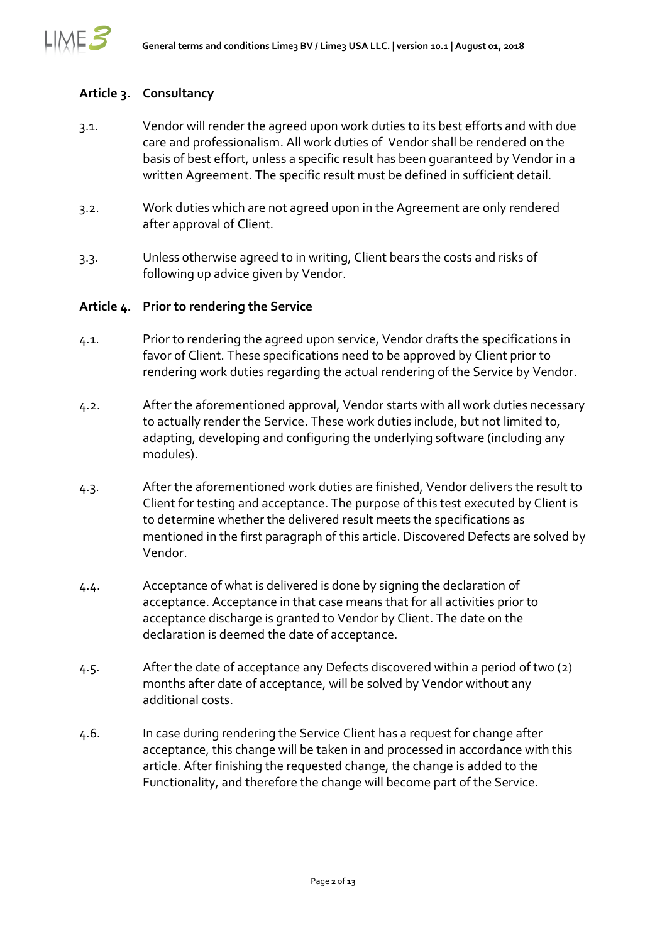

### **Article 3. Consultancy**

- 3.1. Vendor will render the agreed upon work duties to its best efforts and with due care and professionalism. All work duties of Vendor shall be rendered on the basis of best effort, unless a specific result has been guaranteed by Vendor in a written Agreement. The specific result must be defined in sufficient detail.
- 3.2. Work duties which are not agreed upon in the Agreement are only rendered after approval of Client.
- 3.3. Unless otherwise agreed to in writing, Client bears the costs and risks of following up advice given by Vendor.

### **Article 4. Prior to rendering the Service**

- 4.1. Prior to rendering the agreed upon service, Vendor drafts the specifications in favor of Client. These specifications need to be approved by Client prior to rendering work duties regarding the actual rendering of the Service by Vendor.
- 4.2. After the aforementioned approval, Vendor starts with all work duties necessary to actually render the Service. These work duties include, but not limited to, adapting, developing and configuring the underlying software (including any modules).
- 4.3. After the aforementioned work duties are finished, Vendor delivers the result to Client for testing and acceptance. The purpose of this test executed by Client is to determine whether the delivered result meets the specifications as mentioned in the first paragraph of this article. Discovered Defects are solved by Vendor.
- 4.4. Acceptance of what is delivered is done by signing the declaration of acceptance. Acceptance in that case means that for all activities prior to acceptance discharge is granted to Vendor by Client. The date on the declaration is deemed the date of acceptance.
- 4.5. After the date of acceptance any Defects discovered within a period of two (2) months after date of acceptance, will be solved by Vendor without any additional costs.
- 4.6. In case during rendering the Service Client has a request for change after acceptance, this change will be taken in and processed in accordance with this article. After finishing the requested change, the change is added to the Functionality, and therefore the change will become part of the Service.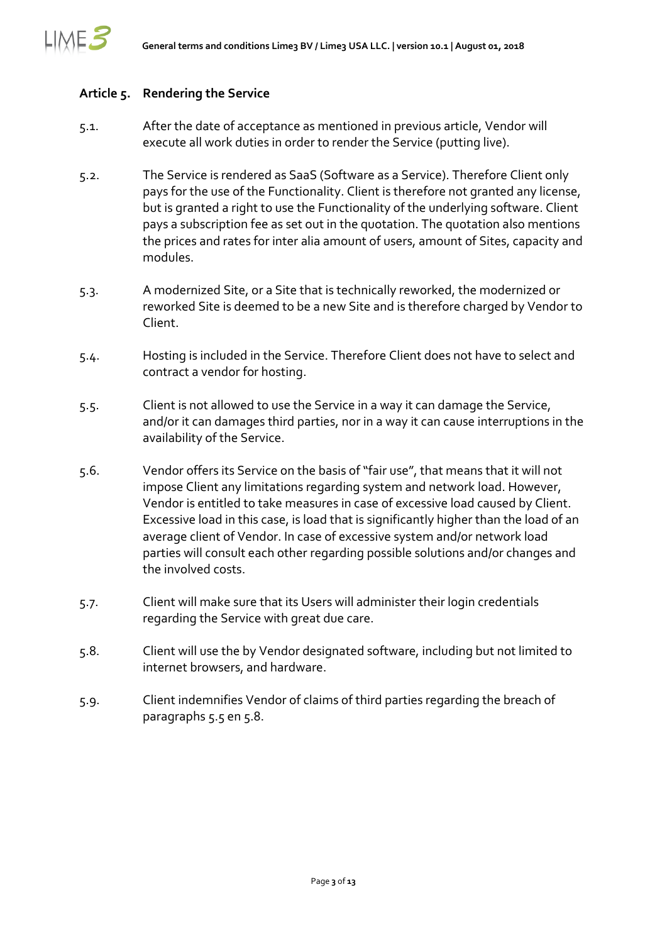

#### **Article 5. Rendering the Service**

- 5.1. After the date of acceptance as mentioned in previous article, Vendor will execute all work duties in order to render the Service (putting live).
- 5.2. The Service is rendered as SaaS (Software as a Service). Therefore Client only pays for the use of the Functionality. Client is therefore not granted any license, but is granted a right to use the Functionality of the underlying software. Client pays a subscription fee as set out in the quotation. The quotation also mentions the prices and rates for inter alia amount of users, amount of Sites, capacity and modules.
- 5.3. A modernized Site, or a Site that is technically reworked, the modernized or reworked Site is deemed to be a new Site and is therefore charged by Vendor to Client.
- 5.4. Hosting is included in the Service. Therefore Client does not have to select and contract a vendor for hosting.
- <span id="page-2-0"></span>5.5. Client is not allowed to use the Service in a way it can damage the Service, and/or it can damages third parties, nor in a way it can cause interruptions in the availability of the Service.
- 5.6. Vendor offers its Service on the basis of "fair use", that means that it will not impose Client any limitations regarding system and network load. However, Vendor is entitled to take measures in case of excessive load caused by Client. Excessive load in this case, is load that is significantly higher than the load of an average client of Vendor. In case of excessive system and/or network load parties will consult each other regarding possible solutions and/or changes and the involved costs.
- 5.7. Client will make sure that its Users will administer their login credentials regarding the Service with great due care.
- <span id="page-2-1"></span>5.8. Client will use the by Vendor designated software, including but not limited to internet browsers, and hardware.
- 5.9. Client indemnifies Vendor of claims of third parties regarding the breach of paragraphs [5.5](#page-2-0) en [5.8.](#page-2-1)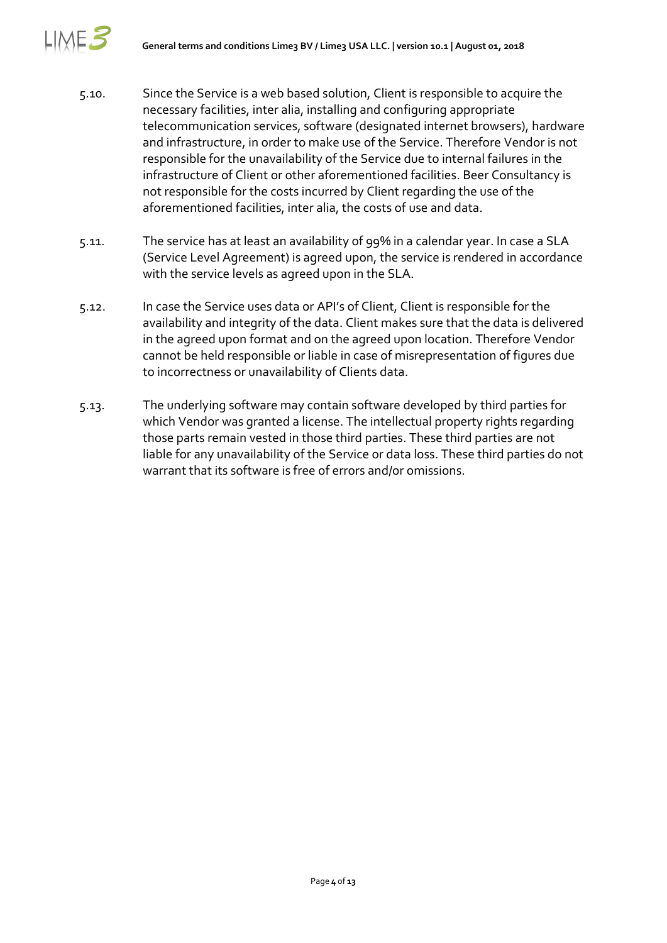∧E.≧

- 5.10. Since the Service is a web based solution, Client is responsible to acquire the necessary facilities, inter alia, installing and configuring appropriate telecommunication services, software (designated internet browsers), hardware and infrastructure, in order to make use of the Service. Therefore Vendor is not responsible for the unavailability of the Service due to internal failures in the infrastructure of Client or other aforementioned facilities. Beer Consultancy is not responsible for the costs incurred by Client regarding the use of the aforementioned facilities, inter alia, the costs of use and data.
- 5.11. The service has at least an availability of 99% in a calendar year. In case a SLA (Service Level Agreement) is agreed upon, the service is rendered in accordance with the service levels as agreed upon in the SLA.
- 5.12. In case the Service uses data or API's of Client, Client is responsible for the availability and integrity of the data. Client makes sure that the data is delivered in the agreed upon format and on the agreed upon location. Therefore Vendor cannot be held responsible or liable in case of misrepresentation of figures due to incorrectness or unavailability of Clients data.
- 5.13. The underlying software may contain software developed by third parties for which Vendor was granted a license. The intellectual property rights regarding those parts remain vested in those third parties. These third parties are not liable for any unavailability of the Service or data loss. These third parties do not warrant that its software is free of errors and/or omissions.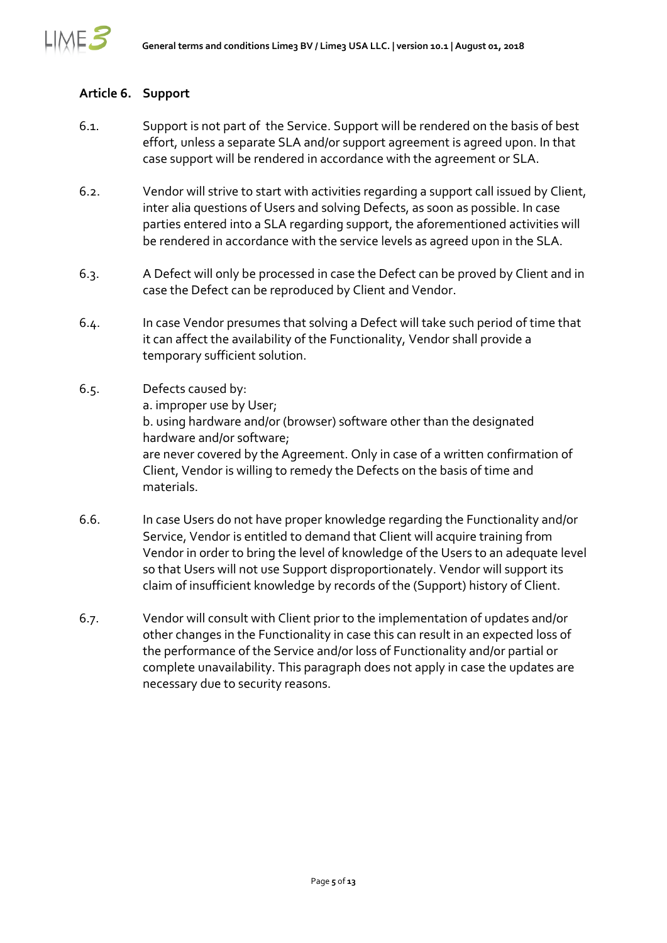

# **Article 6. Support**

- 6.1. Support is not part of the Service. Support will be rendered on the basis of best effort, unless a separate SLA and/or support agreement is agreed upon. In that case support will be rendered in accordance with the agreement or SLA.
- 6.2. Vendor will strive to start with activities regarding a support call issued by Client, inter alia questions of Users and solving Defects, as soon as possible. In case parties entered into a SLA regarding support, the aforementioned activities will be rendered in accordance with the service levels as agreed upon in the SLA.
- 6.3. A Defect will only be processed in case the Defect can be proved by Client and in case the Defect can be reproduced by Client and Vendor.
- 6.4. In case Vendor presumes that solving a Defect will take such period of time that it can affect the availability of the Functionality, Vendor shall provide a temporary sufficient solution.
- 6.5. Defects caused by: a. improper use by User; b. using hardware and/or (browser) software other than the designated hardware and/or software; are never covered by the Agreement. Only in case of a written confirmation of Client, Vendor is willing to remedy the Defects on the basis of time and materials.
- 6.6. In case Users do not have proper knowledge regarding the Functionality and/or Service, Vendor is entitled to demand that Client will acquire training from Vendor in order to bring the level of knowledge of the Users to an adequate level so that Users will not use Support disproportionately. Vendor will support its claim of insufficient knowledge by records of the (Support) history of Client.
- 6.7. Vendor will consult with Client prior to the implementation of updates and/or other changes in the Functionality in case this can result in an expected loss of the performance of the Service and/or loss of Functionality and/or partial or complete unavailability. This paragraph does not apply in case the updates are necessary due to security reasons.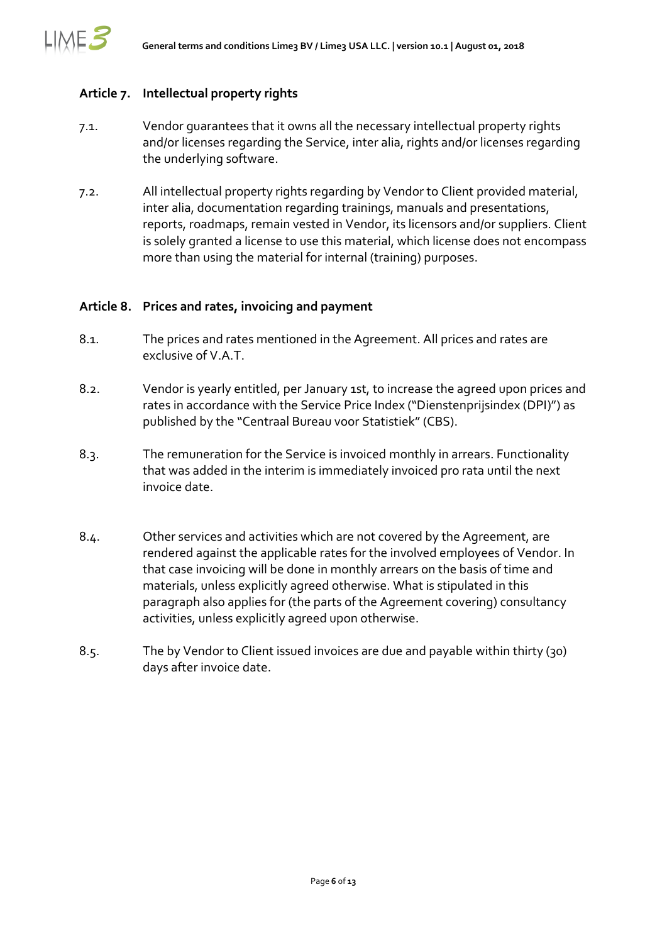

#### <span id="page-5-0"></span>**Article 7. Intellectual property rights**

- 7.1. Vendor guarantees that it owns all the necessary intellectual property rights and/or licenses regarding the Service, inter alia, rights and/or licenses regarding the underlying software.
- 7.2. All intellectual property rights regarding by Vendor to Client provided material, inter alia, documentation regarding trainings, manuals and presentations, reports, roadmaps, remain vested in Vendor, its licensors and/or suppliers. Client is solely granted a license to use this material, which license does not encompass more than using the material for internal (training) purposes.

#### **Article 8. Prices and rates, invoicing and payment**

- 8.1. The prices and rates mentioned in the Agreement. All prices and rates are exclusive of V.A.T.
- 8.2. Vendor is yearly entitled, per January 1st, to increase the agreed upon prices and rates in accordance with the Service Price Index ("Dienstenprijsindex (DPI)") as published by the "Centraal Bureau voor Statistiek" (CBS).
- 8.3. The remuneration for the Service is invoiced monthly in arrears. Functionality that was added in the interim is immediately invoiced pro rata until the next invoice date.
- 8.4. Other services and activities which are not covered by the Agreement, are rendered against the applicable rates for the involved employees of Vendor. In that case invoicing will be done in monthly arrears on the basis of time and materials, unless explicitly agreed otherwise. What is stipulated in this paragraph also applies for (the parts of the Agreement covering) consultancy activities, unless explicitly agreed upon otherwise.
- 8.5. The by Vendor to Client issued invoices are due and payable within thirty (30) days after invoice date.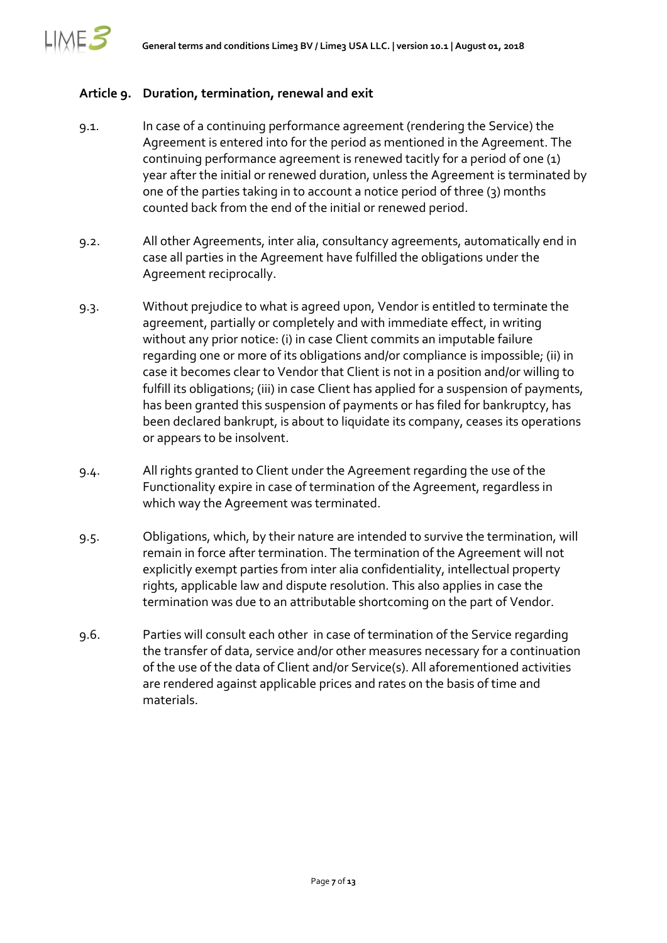

# **Article 9. Duration, termination, renewal and exit**

- 9.1. In case of a continuing performance agreement (rendering the Service) the Agreement is entered into for the period as mentioned in the Agreement. The continuing performance agreement is renewed tacitly for a period of one (1) year after the initial or renewed duration, unless the Agreement is terminated by one of the parties taking in to account a notice period of three (3) months counted back from the end of the initial or renewed period.
- 9.2. All other Agreements, inter alia, consultancy agreements, automatically end in case all parties in the Agreement have fulfilled the obligations under the Agreement reciprocally.
- 9.3. Without prejudice to what is agreed upon, Vendor is entitled to terminate the agreement, partially or completely and with immediate effect, in writing without any prior notice: (i) in case Client commits an imputable failure regarding one or more of its obligations and/or compliance is impossible; (ii) in case it becomes clear to Vendor that Client is not in a position and/or willing to fulfill its obligations; (iii) in case Client has applied for a suspension of payments, has been granted this suspension of payments or has filed for bankruptcy, has been declared bankrupt, is about to liquidate its company, ceases its operations or appears to be insolvent.
- 9.4. All rights granted to Client under the Agreement regarding the use of the Functionality expire in case of termination of the Agreement, regardless in which way the Agreement was terminated.
- 9.5. Obligations, which, by their nature are intended to survive the termination, will remain in force after termination. The termination of the Agreement will not explicitly exempt parties from inter alia confidentiality, intellectual property rights, applicable law and dispute resolution. This also applies in case the termination was due to an attributable shortcoming on the part of Vendor.
- 9.6. Parties will consult each other in case of termination of the Service regarding the transfer of data, service and/or other measures necessary for a continuation of the use of the data of Client and/or Service(s). All aforementioned activities are rendered against applicable prices and rates on the basis of time and materials.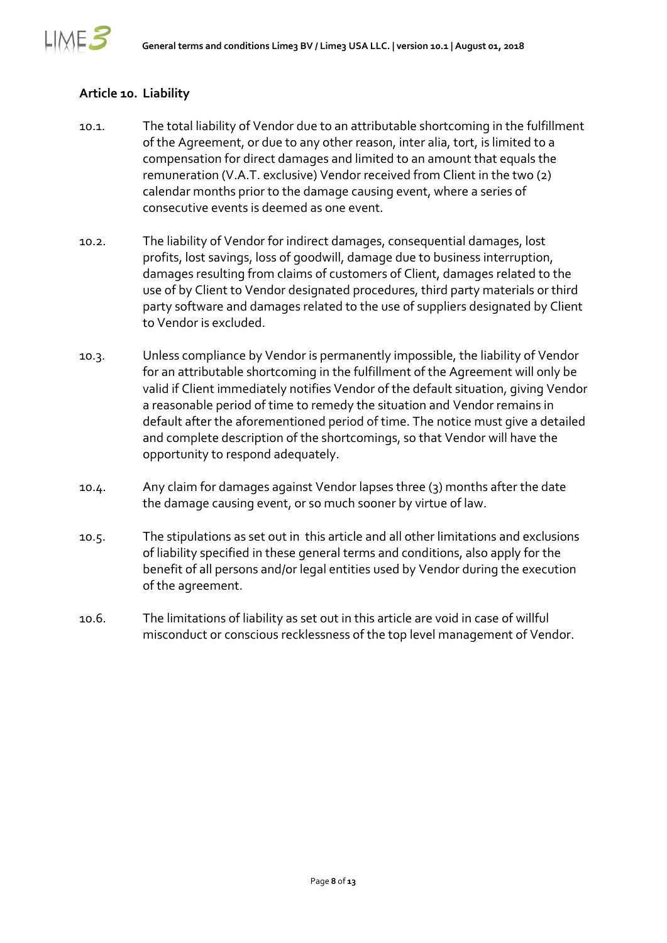# **Article 10. Liability**

LIME E

- 10.1. The total liability of Vendor due to an attributable shortcoming in the fulfillment of the Agreement, or due to any other reason, inter alia, tort, is limited to a compensation for direct damages and limited to an amount that equals the remuneration (V.A.T. exclusive) Vendor received from Client in the two (2) calendar months prior to the damage causing event, where a series of consecutive events is deemed as one event.
- 10.2. The liability of Vendor for indirect damages, consequential damages, lost profits, lost savings, loss of goodwill, damage due to business interruption, damages resulting from claims of customers of Client, damages related to the use of by Client to Vendor designated procedures, third party materials or third party software and damages related to the use of suppliers designated by Client to Vendor is excluded.
- 10.3. Unless compliance by Vendor is permanently impossible, the liability of Vendor for an attributable shortcoming in the fulfillment of the Agreement will only be valid if Client immediately notifies Vendor of the default situation, giving Vendor a reasonable period of time to remedy the situation and Vendor remains in default after the aforementioned period of time. The notice must give a detailed and complete description of the shortcomings, so that Vendor will have the opportunity to respond adequately.
- 10.4. Any claim for damages against Vendor lapses three (3) months after the date the damage causing event, or so much sooner by virtue of law.
- 10.5. The stipulations as set out in this article and all other limitations and exclusions of liability specified in these general terms and conditions, also apply for the benefit of all persons and/or legal entities used by Vendor during the execution of the agreement.
- 10.6. The limitations of liability as set out in this article are void in case of willful misconduct or conscious recklessness of the top level management of Vendor.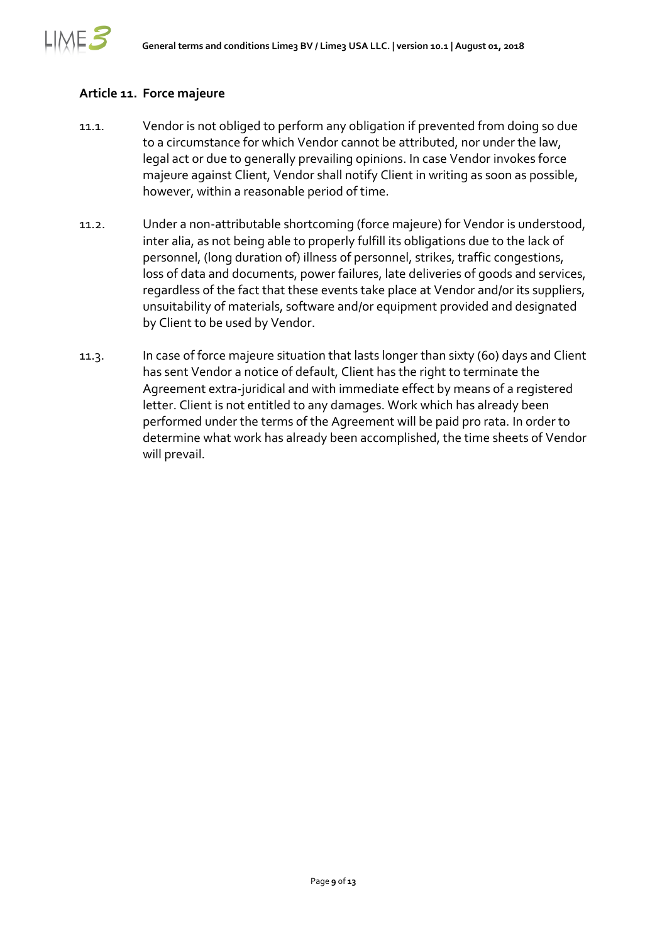

## **Article 11. Force majeure**

- 11.1. Vendor is not obliged to perform any obligation if prevented from doing so due to a circumstance for which Vendor cannot be attributed, nor under the law, legal act or due to generally prevailing opinions. In case Vendor invokes force majeure against Client, Vendor shall notify Client in writing as soon as possible, however, within a reasonable period of time.
- 11.2. Under a non-attributable shortcoming (force majeure) for Vendor is understood, inter alia, as not being able to properly fulfill its obligations due to the lack of personnel, (long duration of) illness of personnel, strikes, traffic congestions, loss of data and documents, power failures, late deliveries of goods and services, regardless of the fact that these events take place at Vendor and/or its suppliers, unsuitability of materials, software and/or equipment provided and designated by Client to be used by Vendor.
- 11.3. In case of force majeure situation that lasts longer than sixty (60) days and Client has sent Vendor a notice of default, Client has the right to terminate the Agreement extra-juridical and with immediate effect by means of a registered letter. Client is not entitled to any damages. Work which has already been performed under the terms of the Agreement will be paid pro rata. In order to determine what work has already been accomplished, the time sheets of Vendor will prevail.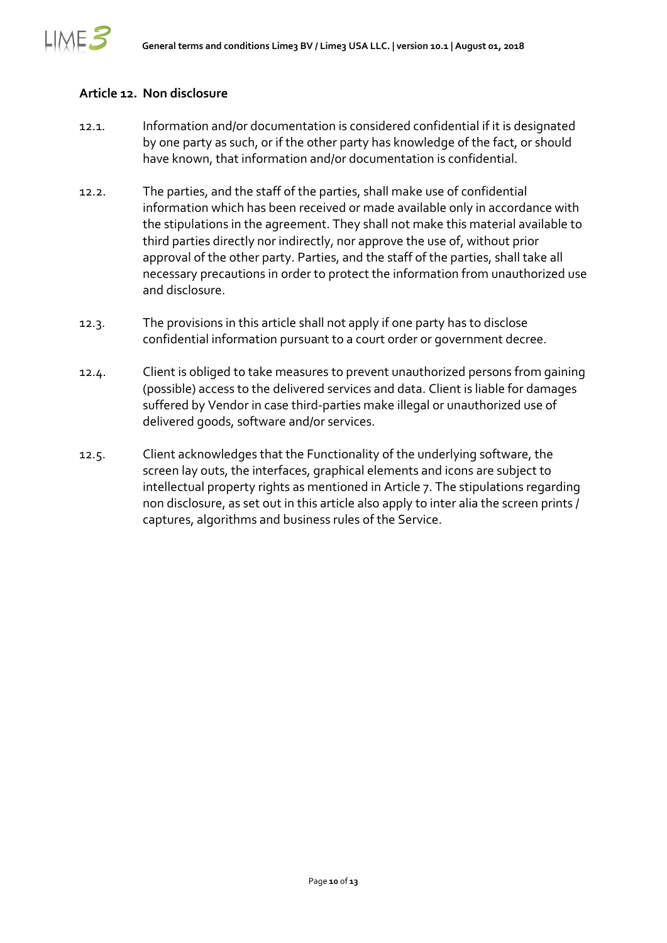## **Article 12. Non disclosure**

∧E.≧

- 12.1. Information and/or documentation is considered confidential if it is designated by one party as such, or if the other party has knowledge of the fact, or should have known, that information and/or documentation is confidential.
- 12.2. The parties, and the staff of the parties, shall make use of confidential information which has been received or made available only in accordance with the stipulations in the agreement. They shall not make this material available to third parties directly nor indirectly, nor approve the use of, without prior approval of the other party. Parties, and the staff of the parties, shall take all necessary precautions in order to protect the information from unauthorized use and disclosure.
- 12.3. The provisions in this article shall not apply if one party has to disclose confidential information pursuant to a court order or government decree.
- 12.4. Client is obliged to take measures to prevent unauthorized persons from gaining (possible) access to the delivered services and data. Client is liable for damages suffered by Vendor in case third-parties make illegal or unauthorized use of delivered goods, software and/or services.
- 12.5. Client acknowledges that the Functionality of the underlying software, the screen lay outs, the interfaces, graphical elements and icons are subject to intellectual property rights as mentioned in [Article 7.](#page-5-0) The stipulations regarding non disclosure, as set out in this article also apply to inter alia the screen prints / captures, algorithms and business rules of the Service.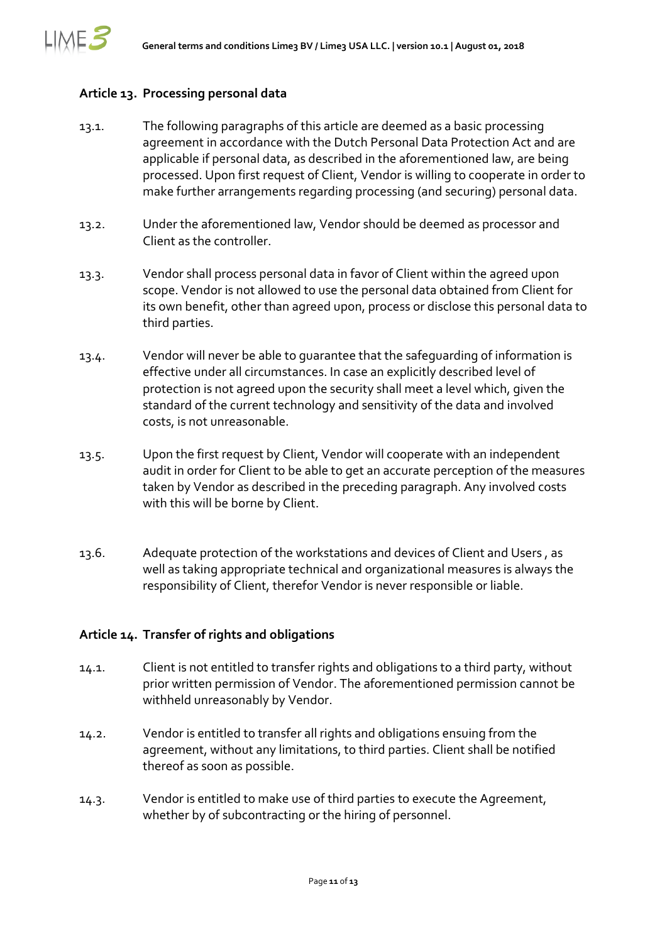## **Article 13. Processing personal data**

LIME 5

- 13.1. The following paragraphs of this article are deemed as a basic processing agreement in accordance with the Dutch Personal Data Protection Act and are applicable if personal data, as described in the aforementioned law, are being processed. Upon first request of Client, Vendor is willing to cooperate in order to make further arrangements regarding processing (and securing) personal data.
- 13.2. Under the aforementioned law, Vendor should be deemed as processor and Client as the controller.
- 13.3. Vendor shall process personal data in favor of Client within the agreed upon scope. Vendor is not allowed to use the personal data obtained from Client for its own benefit, other than agreed upon, process or disclose this personal data to third parties.
- 13.4. Vendor will never be able to guarantee that the safeguarding of information is effective under all circumstances. In case an explicitly described level of protection is not agreed upon the security shall meet a level which, given the standard of the current technology and sensitivity of the data and involved costs, is not unreasonable.
- 13.5. Upon the first request by Client, Vendor will cooperate with an independent audit in order for Client to be able to get an accurate perception of the measures taken by Vendor as described in the preceding paragraph. Any involved costs with this will be borne by Client.
- 13.6. Adequate protection of the workstations and devices of Client and Users , as well as taking appropriate technical and organizational measures is always the responsibility of Client, therefor Vendor is never responsible or liable.

## **Article 14. Transfer of rights and obligations**

- 14.1. Client is not entitled to transfer rights and obligations to a third party, without prior written permission of Vendor. The aforementioned permission cannot be withheld unreasonably by Vendor.
- 14.2. Vendor is entitled to transfer all rights and obligations ensuing from the agreement, without any limitations, to third parties. Client shall be notified thereof as soon as possible.
- 14.3. Vendor is entitled to make use of third parties to execute the Agreement, whether by of subcontracting or the hiring of personnel.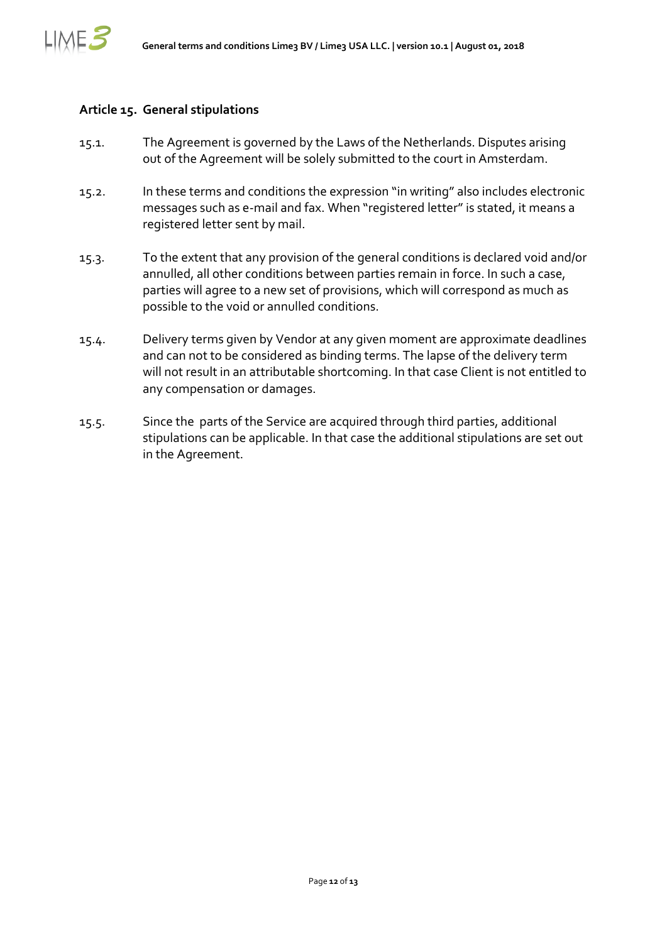

#### **Article 15. General stipulations**

- 15.1. The Agreement is governed by the Laws of the Netherlands. Disputes arising out of the Agreement will be solely submitted to the court in Amsterdam.
- 15.2. In these terms and conditions the expression "in writing" also includes electronic messages such as e-mail and fax. When "registered letter" is stated, it means a registered letter sent by mail.
- 15.3. To the extent that any provision of the general conditions is declared void and/or annulled, all other conditions between parties remain in force. In such a case, parties will agree to a new set of provisions, which will correspond as much as possible to the void or annulled conditions.
- 15.4. Delivery terms given by Vendor at any given moment are approximate deadlines and can not to be considered as binding terms. The lapse of the delivery term will not result in an attributable shortcoming. In that case Client is not entitled to any compensation or damages.
- 15.5. Since the parts of the Service are acquired through third parties, additional stipulations can be applicable. In that case the additional stipulations are set out in the Agreement.